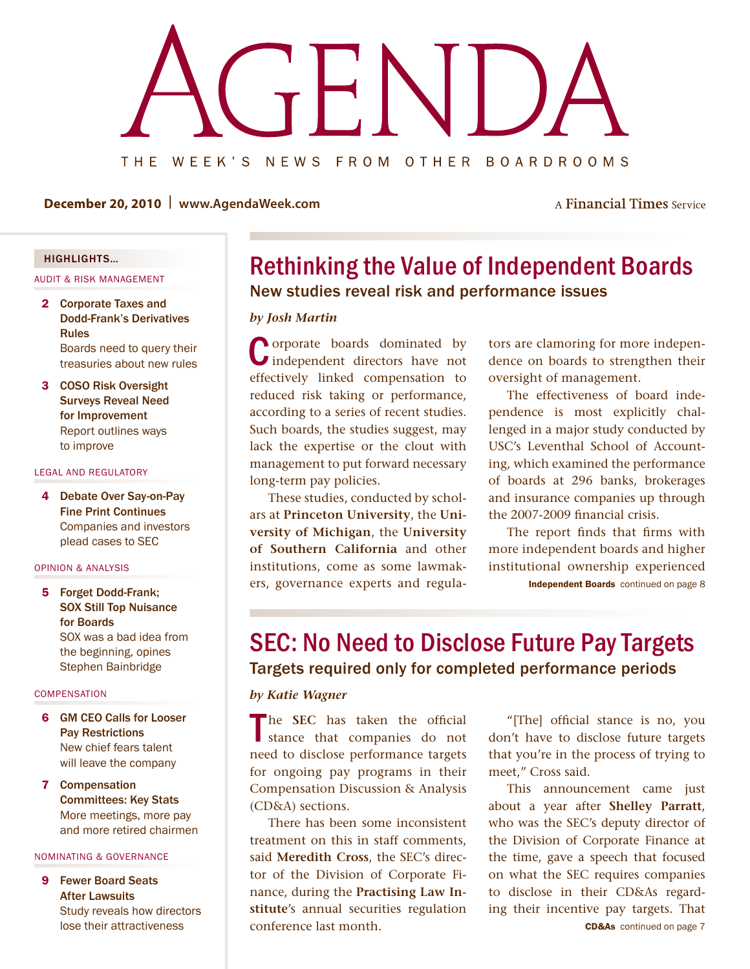<span id="page-0-0"></span>

**December 20, 2010 | www.AgendaWeek.com**

A Financial Times Service

## highlights…

Audit & Risk Management

- 2 Corporate Taxes and Dodd-Frank's Derivatives Rules Boards need to query their [treasuries about new rules](#page-1-0)
- 3 COSO Risk Oversight Surveys Reveal Need for Improvement [Report outlines ways](#page-2-0)  to improve

#### legal and regulatory

4 Debate Over Say-on-Pay Fine Print Continues [Companies and investors](#page-3-0)  plead cases to SEC

#### Opinion & Analysis

5 Forget Dodd-Frank; SOX Still Top Nuisance for Boards [SOX was a bad idea from](#page-4-0)  the beginning, opines Stephen Bainbridge

#### **COMPENSATION**

- 6 GM CEO Calls for Looser Pay Restrictions New chief fears talent [will leave the company](#page-5-0)
- 7 Compensation Committees: Key Stats More meetings, more pay [and more retired chairmen](#page-6-0)

#### NOMINATING & GOVERNANCE

9 Fewer Board Seats After Lawsuits [Study reveals how directors](#page-8-0)  lose their attractiveness

## New studies reveal risk and performance issues Rethinking the Value of Independent Boards

#### *by Josh Martin*

**Lorporate boards dominated by** Independent directors have not effectively linked compensation to reduced risk taking or performance, according to a series of recent studies. Such boards, the studies suggest, may lack the expertise or the clout with management to put forward necessary long-term pay policies.

These studies, conducted by scholars at **Princeton University**, the **University of Michigan**, the **University of Southern California** and other institutions, come as some lawmakers, governance experts and regula-

tors are clamoring for more independence on boards to strengthen their oversight of management.

The effectiveness of board independence is most explicitly challenged in a major study conducted by USC's Leventhal School of Accounting, which examined the performance of boards at 296 banks, brokerages and insurance companies up through the 2007-2009 financial crisis.

[Independent Boards](#page-7-0) continued on page 8 The report finds that firms with more independent boards and higher institutional ownership experienced

## Targets required only for completed performance periods SEC: No Need to Disclose Future Pay Targets

#### *by Katie Wagner*

The **SEC** has taken the official stance that companies do not need to disclose performance targets for ongoing pay programs in their Compensation Discussion & Analysis (CD&A) sections.

There has been some inconsistent treatment on this in staff comments, said **Meredith Cross**, the SEC's director of the Division of Corporate Finance, during the **Practising Law Institute**'s annual securities regulation conference last month.

"[The] official stance is no, you don't have to disclose future targets that you're in the process of trying to meet," Cross said.

CD&As [continued on page 7](#page-6-0) This announcement came just about a year after **Shelley Parratt**, who was the SEC's deputy director of the Division of Corporate Finance at the time, gave a speech that focused on what the SEC requires companies to disclose in their CD&As regarding their incentive pay targets. That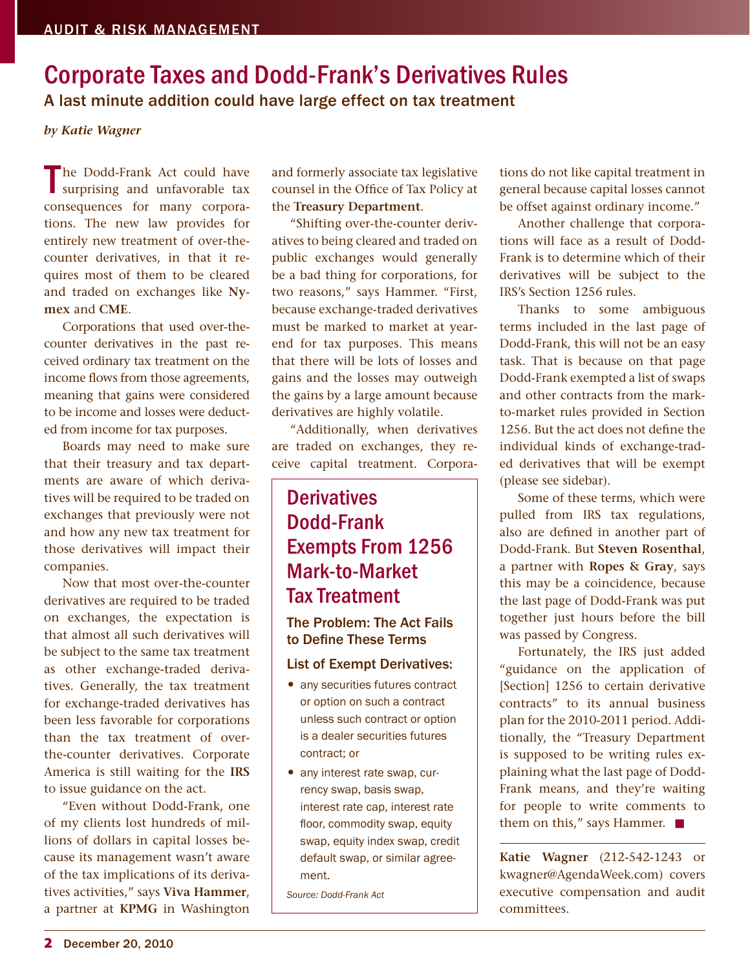## <span id="page-1-0"></span>A last minute addition could have large effect on tax treatment Corporate Taxes and Dodd-Frank's Derivatives Rules

#### *by Katie Wagner*

The Dodd-Frank Act could have<br>surprising and unfavorable tax consequences for many corporations. The new law provides for entirely new treatment of over-thecounter derivatives, in that it requires most of them to be cleared and traded on exchanges like **Nymex** and **CME**.

Corporations that used over-thecounter derivatives in the past received ordinary tax treatment on the income flows from those agreements, meaning that gains were considered to be income and losses were deducted from income for tax purposes.

Boards may need to make sure that their treasury and tax departments are aware of which derivatives will be required to be traded on exchanges that previously were not and how any new tax treatment for those derivatives will impact their companies.

Now that most over-the-counter derivatives are required to be traded on exchanges, the expectation is that almost all such derivatives will be subject to the same tax treatment as other exchange-traded derivatives. Generally, the tax treatment for exchange-traded derivatives has been less favorable for corporations than the tax treatment of overthe-counter derivatives. Corporate America is still waiting for the **IRS** to issue guidance on the act.

"Even without Dodd-Frank, one of my clients lost hundreds of millions of dollars in capital losses because its management wasn't aware of the tax implications of its derivatives activities," says **Viva Hammer**, a partner at **KPMG** in Washington

and formerly associate tax legislative counsel in the Office of Tax Policy at the **Treasury Department**.

"Shifting over-the-counter derivatives to being cleared and traded on public exchanges would generally be a bad thing for corporations, for two reasons," says Hammer. "First, because exchange-traded derivatives must be marked to market at yearend for tax purposes. This means that there will be lots of losses and gains and the losses may outweigh the gains by a large amount because derivatives are highly volatile.

"Additionally, when derivatives are traded on exchanges, they receive capital treatment. Corpora-

## **Derivatives** Dodd-Frank Exempts From 1256 Mark-to-Market Tax Treatment

## The Problem: The Act Fails to Define These Terms

## List of Exempt Derivatives:

- any securities futures contract or option on such a contract unless such contract or option is a dealer securities futures contract; or
- any interest rate swap, currency swap, basis swap, interest rate cap, interest rate floor, commodity swap, equity swap, equity index swap, credit default swap, or similar agreement.

*Source: Dodd-Frank Act*

tions do not like capital treatment in general because capital losses cannot be offset against ordinary income."

Another challenge that corporations will face as a result of Dodd-Frank is to determine which of their derivatives will be subject to the IRS's Section 1256 rules.

Thanks to some ambiguous terms included in the last page of Dodd-Frank, this will not be an easy task. That is because on that page Dodd-Frank exempted a list of swaps and other contracts from the markto-market rules provided in Section 1256. But the act does not define the individual kinds of exchange-traded derivatives that will be exempt (please see sidebar).

Some of these terms, which were pulled from IRS tax regulations, also are defined in another part of Dodd-Frank. But **Steven Rosenthal**, a partner with **Ropes & Gray**, says this may be a coincidence, because the last page of Dodd-Frank was put together just hours before the bill was passed by Congress.

Fortunately, the IRS just added "guidance on the application of [Section] 1256 to certain derivative contracts" to its annual business plan for the 2010-2011 period. Additionally, the "Treasury Department is supposed to be writing rules explaining what the last page of Dodd-Frank means, and they're waiting for people to write comments to them on this," says Hammer.  $\blacksquare$ 

**Katie Wagner** (212-542-1243 or kwagner@AgendaWeek.com) covers executive compensation and audit committees.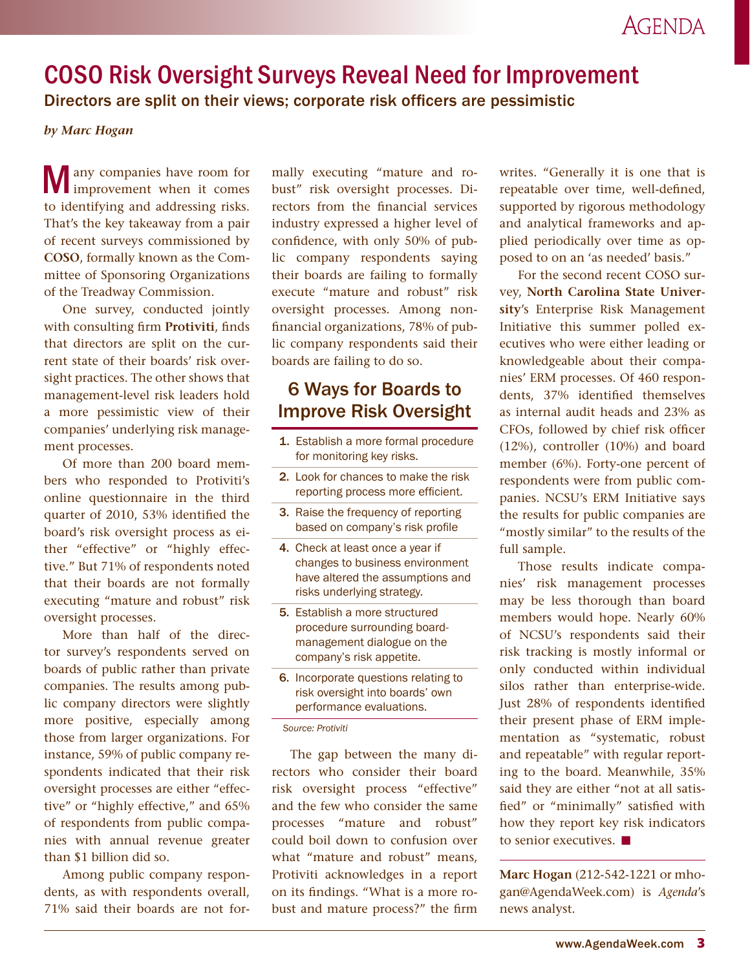## <span id="page-2-0"></span>COSO Risk Oversight Surveys Reveal Need for Improvement

Directors are split on their views; corporate risk officers are pessimistic

## *by Marc Hogan*

Many companies have room for improvement when it comes to identifying and addressing risks. That's the key takeaway from a pair of recent surveys commissioned by **COSO**, formally known as the Committee of Sponsoring Organizations of the Treadway Commission.

One survey, conducted jointly with consulting firm **Protiviti**, finds that directors are split on the current state of their boards' risk oversight practices. The other shows that management-level risk leaders hold a more pessimistic view of their companies' underlying risk management processes.

Of more than 200 board members who responded to Protiviti's online questionnaire in the third quarter of 2010, 53% identified the board's risk oversight process as either "effective" or "highly effective." But 71% of respondents noted that their boards are not formally executing "mature and robust" risk oversight processes.

More than half of the director survey's respondents served on boards of public rather than private companies. The results among public company directors were slightly more positive, especially among those from larger organizations. For instance, 59% of public company respondents indicated that their risk oversight processes are either "effective" or "highly effective," and 65% of respondents from public companies with annual revenue greater than \$1 billion did so.

Among public company respondents, as with respondents overall, 71% said their boards are not formally executing "mature and robust" risk oversight processes. Directors from the financial services industry expressed a higher level of confidence, with only 50% of public company respondents saying their boards are failing to formally execute "mature and robust" risk oversight processes. Among nonfinancial organizations, 78% of public company respondents said their boards are failing to do so.

## 6 Ways for Boards to Improve Risk Oversight

- 1. Establish a more formal procedure for monitoring key risks.
- 2. Look for chances to make the risk reporting process more efficient.
- 3. Raise the frequency of reporting based on company's risk profile
- 4. Check at least once a year if changes to business environment have altered the assumptions and risks underlying strategy.
- 5. Establish a more structured procedure surrounding boardmanagement dialogue on the company's risk appetite.
- 6. Incorporate questions relating to risk oversight into boards' own performance evaluations.

#### *Source: Protiviti*

The gap between the many directors who consider their board risk oversight process "effective" and the few who consider the same processes "mature and robust" could boil down to confusion over what "mature and robust" means, Protiviti acknowledges in a report on its findings. "What is a more robust and mature process?" the firm writes. "Generally it is one that is repeatable over time, well-defined, supported by rigorous methodology and analytical frameworks and applied periodically over time as opposed to on an 'as needed' basis."

For the second recent COSO survey, **North Carolina State University**'s Enterprise Risk Management Initiative this summer polled executives who were either leading or knowledgeable about their companies' ERM processes. Of 460 respondents, 37% identified themselves as internal audit heads and 23% as CFOs, followed by chief risk officer (12%), controller (10%) and board member (6%). Forty-one percent of respondents were from public companies. NCSU's ERM Initiative says the results for public companies are "mostly similar" to the results of the full sample.

Those results indicate companies' risk management processes may be less thorough than board members would hope. Nearly 60% of NCSU's respondents said their risk tracking is mostly informal or only conducted within individual silos rather than enterprise-wide. Just 28% of respondents identified their present phase of ERM implementation as "systematic, robust and repeatable" with regular reporting to the board. Meanwhile, 35% said they are either "not at all satisfied" or "minimally" satisfied with how they report key risk indicators to senior executives.  $\blacksquare$ 

**Marc Hogan** (212-542-1221 or mhogan@AgendaWeek.com) is *Agenda*'s news analyst.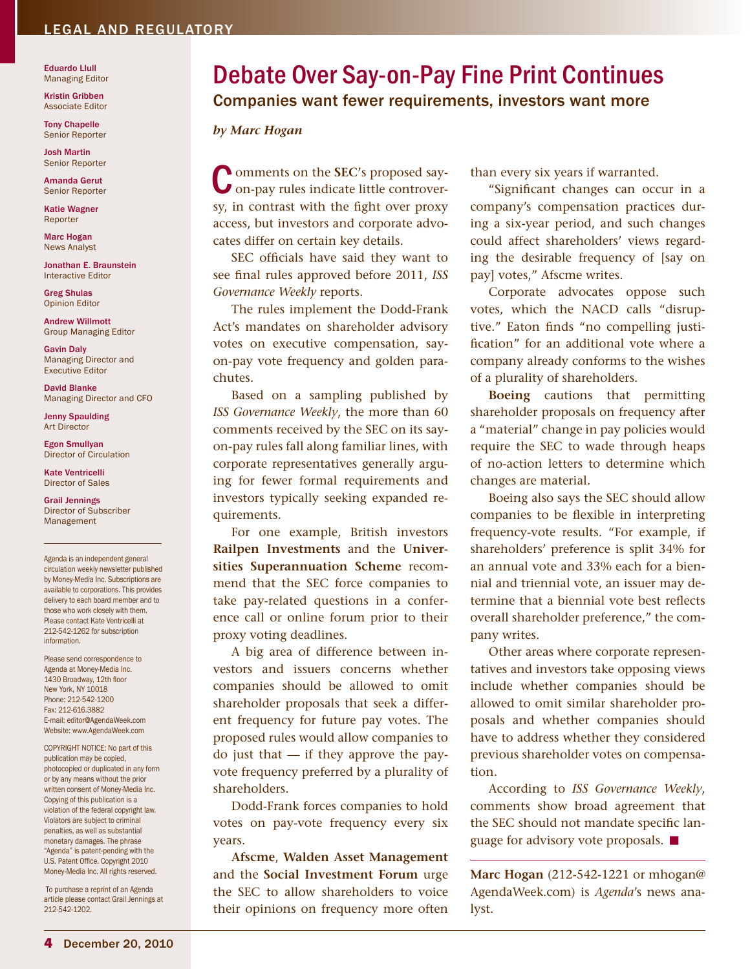## <span id="page-3-0"></span>legal and regulatory

Eduardo Llull Managing Editor

Kristin Gribben Associate Editor

Tony Chapelle Senior Reporter

Josh Martin Senior Reporter

Amanda Gerut Senior Reporter

Katie Wagner Reporter

Marc Hogan News Analyst

Jonathan E. Braunstein Interactive Editor

Greg Shulas Opinion Editor

Andrew Willmott Group Managing Editor

Gavin Daly Managing Director and Executive Editor

David Blanke Managing Director and CFO

Jenny Spaulding Art Director

Egon Smullyan Director of Circulation

Kate Ventricelli Director of Sales

Grail Jennings Director of Subscriber Management

Agenda is an independent general circulation weekly newsletter published by Money-Media Inc. Subscriptions are available to corporations. This provides delivery to each board member and to those who work closely with them. Please contact Kate Ventricelli at 212-542-1262 for subscription information.

Please send correspondence to Agenda at Money-Media Inc. 1430 Broadway, 12th floor New York, NY 10018 Phone: 212-542-1200 Fax: 212-616.3882 E-mail: editor@AgendaWeek.com Website: www.AgendaWeek.com

COPYRIGHT NOTICE: No part of this publication may be copied, photocopied or duplicated in any form or by any means without the prior written consent of Money-Media Inc. Copying of this publication is a violation of the federal copyright law. Violators are subject to criminal penalties, as well as substantial monetary damages. The phrase "Agenda" is patent-pending with the U.S. Patent Office. Copyright 2010 Money-Media Inc. All rights reserved.

To purchase a reprint of an Agenda article please contact Grail Jennings at 212-542-1202.

## Companies want fewer requirements, investors want more Debate Over Say-on-Pay Fine Print Continues

#### *by Marc Hogan*

**Comments on the SEC's proposed say**on-pay rules indicate little controversy, in contrast with the fight over proxy access, but investors and corporate advocates differ on certain key details.

SEC officials have said they want to see final rules approved before 2011, *ISS Governance Weekly* reports.

The rules implement the Dodd-Frank Act's mandates on shareholder advisory votes on executive compensation, sayon-pay vote frequency and golden parachutes.

Based on a sampling published by *ISS Governance Weekly*, the more than 60 comments received by the SEC on its sayon-pay rules fall along familiar lines, with corporate representatives generally arguing for fewer formal requirements and investors typically seeking expanded requirements.

For one example, British investors **Railpen Investments** and the **Universities Superannuation Scheme** recommend that the SEC force companies to take pay-related questions in a conference call or online forum prior to their proxy voting deadlines.

A big area of difference between investors and issuers concerns whether companies should be allowed to omit shareholder proposals that seek a different frequency for future pay votes. The proposed rules would allow companies to  $\alpha$  just that  $\alpha$  if they approve the payvote frequency preferred by a plurality of shareholders.

Dodd-Frank forces companies to hold votes on pay-vote frequency every six years.

**Afscme**, **Walden Asset Management** and the **Social Investment Forum** urge the SEC to allow shareholders to voice their opinions on frequency more often

than every six years if warranted.

"Significant changes can occur in a company's compensation practices during a six-year period, and such changes could affect shareholders' views regarding the desirable frequency of [say on pay] votes," Afscme writes.

Corporate advocates oppose such votes, which the NACD calls "disruptive." Eaton finds "no compelling justification" for an additional vote where a company already conforms to the wishes of a plurality of shareholders.

**Boeing** cautions that permitting shareholder proposals on frequency after a "material" change in pay policies would require the SEC to wade through heaps of no-action letters to determine which changes are material.

Boeing also says the SEC should allow companies to be flexible in interpreting frequency-vote results. "For example, if shareholders' preference is split 34% for an annual vote and 33% each for a biennial and triennial vote, an issuer may determine that a biennial vote best reflects overall shareholder preference," the company writes.

Other areas where corporate representatives and investors take opposing views include whether companies should be allowed to omit similar shareholder proposals and whether companies should have to address whether they considered previous shareholder votes on compensation.

According to *ISS Governance Weekly*, comments show broad agreement that the SEC should not mandate specific language for advisory vote proposals.  $\square$ 

**Marc Hogan** (212-542-1221 or mhogan@ AgendaWeek.com) is *Agenda*'s news analyst.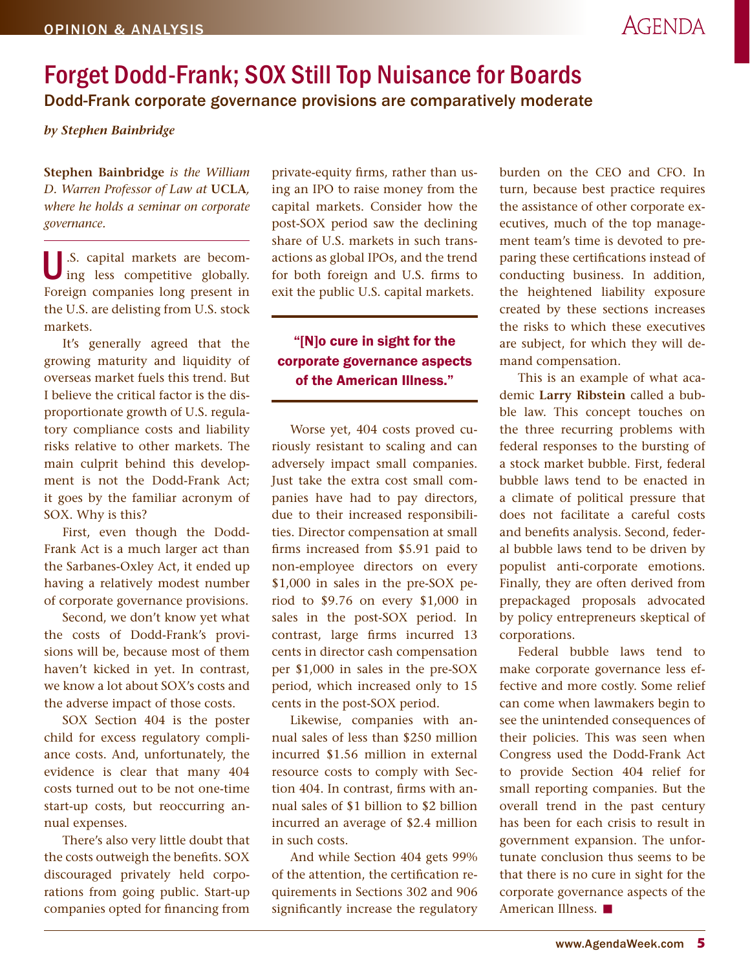## <span id="page-4-0"></span>Forget Dodd-Frank; SOX Still Top Nuisance for Boards Dodd-Frank corporate governance provisions are comparatively moderate

*by Stephen Bainbridge*

**Stephen Bainbridge** *is the William D. Warren Professor of Law at* **UCLA***, where he holds a seminar on corporate governance.*

U.S. capital markets are becom-ing less competitive globally. Foreign companies long present in the U.S. are delisting from U.S. stock markets.

It's generally agreed that the growing maturity and liquidity of overseas market fuels this trend. But I believe the critical factor is the disproportionate growth of U.S. regulatory compliance costs and liability risks relative to other markets. The main culprit behind this development is not the Dodd-Frank Act; it goes by the familiar acronym of SOX. Why is this?

First, even though the Dodd-Frank Act is a much larger act than the Sarbanes-Oxley Act, it ended up having a relatively modest number of corporate governance provisions.

Second, we don't know yet what the costs of Dodd-Frank's provisions will be, because most of them haven't kicked in yet. In contrast, we know a lot about SOX's costs and the adverse impact of those costs.

SOX Section 404 is the poster child for excess regulatory compliance costs. And, unfortunately, the evidence is clear that many 404 costs turned out to be not one-time start-up costs, but reoccurring annual expenses.

There's also very little doubt that the costs outweigh the benefits. SOX discouraged privately held corporations from going public. Start-up companies opted for financing from

private-equity firms, rather than using an IPO to raise money from the capital markets. Consider how the post-SOX period saw the declining share of U.S. markets in such transactions as global IPOs, and the trend for both foreign and U.S. firms to exit the public U.S. capital markets.

## "[N]o cure in sight for the corporate governance aspects of the American Illness."

Worse yet, 404 costs proved curiously resistant to scaling and can adversely impact small companies. Just take the extra cost small companies have had to pay directors, due to their increased responsibilities. Director compensation at small firms increased from \$5.91 paid to non-employee directors on every \$1,000 in sales in the pre-SOX period to \$9.76 on every \$1,000 in sales in the post-SOX period. In contrast, large firms incurred 13 cents in director cash compensation per \$1,000 in sales in the pre-SOX period, which increased only to 15 cents in the post-SOX period.

Likewise, companies with annual sales of less than \$250 million incurred \$1.56 million in external resource costs to comply with Section 404. In contrast, firms with annual sales of \$1 billion to \$2 billion incurred an average of \$2.4 million in such costs.

And while Section 404 gets 99% of the attention, the certification requirements in Sections 302 and 906 significantly increase the regulatory burden on the CEO and CFO. In turn, because best practice requires the assistance of other corporate executives, much of the top management team's time is devoted to preparing these certifications instead of conducting business. In addition, the heightened liability exposure created by these sections increases the risks to which these executives are subject, for which they will demand compensation.

This is an example of what academic **Larry Ribstein** called a bubble law. This concept touches on the three recurring problems with federal responses to the bursting of a stock market bubble. First, federal bubble laws tend to be enacted in a climate of political pressure that does not facilitate a careful costs and benefits analysis. Second, federal bubble laws tend to be driven by populist anti-corporate emotions. Finally, they are often derived from prepackaged proposals advocated by policy entrepreneurs skeptical of corporations.

Federal bubble laws tend to make corporate governance less effective and more costly. Some relief can come when lawmakers begin to see the unintended consequences of their policies. This was seen when Congress used the Dodd-Frank Act to provide Section 404 relief for small reporting companies. But the overall trend in the past century has been for each crisis to result in government expansion. The unfortunate conclusion thus seems to be that there is no cure in sight for the corporate governance aspects of the American Illness.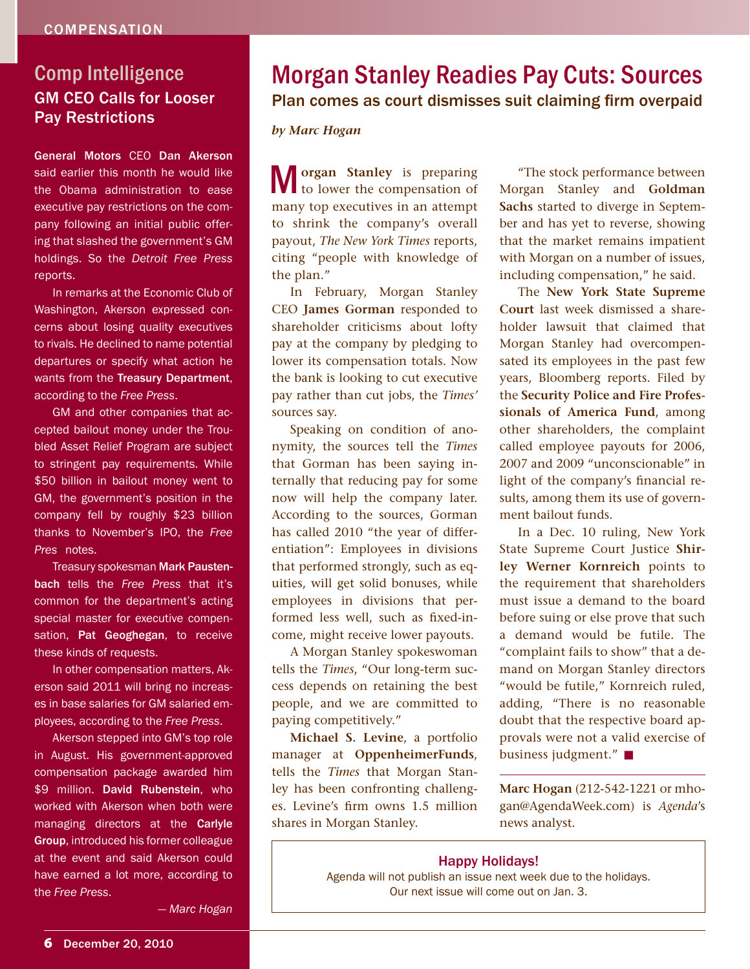## <span id="page-5-0"></span>GM CEO Calls for Looser Pay Restrictions Comp Intelligence

General Motors CEO Dan Akerson said earlier this month he would like the Obama administration to ease executive pay restrictions on the company following an initial public offering that slashed the government's GM holdings. So the *Detroit Free Press* reports.

In remarks at the Economic Club of Washington, Akerson expressed concerns about losing quality executives to rivals. He declined to name potential departures or specify what action he wants from the Treasury Department, according to the *Free Press*.

GM and other companies that accepted bailout money under the Troubled Asset Relief Program are subject to stringent pay requirements. While \$50 billion in bailout money went to GM, the government's position in the company fell by roughly \$23 billion thanks to November's IPO, the *Free Press* notes.

Treasury spokesman Mark Paustenbach tells the *Free Press* that it's common for the department's acting special master for executive compensation, Pat Geoghegan, to receive these kinds of requests.

In other compensation matters, Akerson said 2011 will bring no increases in base salaries for GM salaried employees, according to the *Free Press*.

Akerson stepped into GM's top role in August. His government-approved compensation package awarded him \$9 million. David Rubenstein, who worked with Akerson when both were managing directors at the Carlyle Group, introduced his former colleague at the event and said Akerson could have earned a lot more, according to the *Free Press*.

Morgan Stanley Readies Pay Cuts: Sources Plan comes as court dismisses suit claiming firm overpaid

*by Marc Hogan*

M**organ Stanley** is preparing to lower the compensation of many top executives in an attempt to shrink the company's overall payout, *The New York Times* reports, citing "people with knowledge of the plan."

In February, Morgan Stanley CEO **James Gorman** responded to shareholder criticisms about lofty pay at the company by pledging to lower its compensation totals. Now the bank is looking to cut executive pay rather than cut jobs, the *Times'* sources say.

Speaking on condition of anonymity, the sources tell the *Times* that Gorman has been saying internally that reducing pay for some now will help the company later. According to the sources, Gorman has called 2010 "the year of differentiation": Employees in divisions that performed strongly, such as equities, will get solid bonuses, while employees in divisions that performed less well, such as fixed-income, might receive lower payouts.

A Morgan Stanley spokeswoman tells the *Times*, "Our long-term success depends on retaining the best people, and we are committed to paying competitively."

**Michael S. Levine**, a portfolio manager at **OppenheimerFunds**, tells the *Times* that Morgan Stanley has been confronting challenges. Levine's firm owns 1.5 million shares in Morgan Stanley.

"The stock performance between Morgan Stanley and **Goldman Sachs** started to diverge in September and has yet to reverse, showing that the market remains impatient with Morgan on a number of issues, including compensation," he said.

The **New York State Supreme Court** last week dismissed a shareholder lawsuit that claimed that Morgan Stanley had overcompensated its employees in the past few years, Bloomberg reports. Filed by the **Security Police and Fire Professionals of America Fund**, among other shareholders, the complaint called employee payouts for 2006, 2007 and 2009 "unconscionable" in light of the company's financial results, among them its use of government bailout funds.

In a Dec. 10 ruling, New York State Supreme Court Justice **Shirley Werner Kornreich** points to the requirement that shareholders must issue a demand to the board before suing or else prove that such a demand would be futile. The "complaint fails to show" that a demand on Morgan Stanley directors "would be futile," Kornreich ruled, adding, "There is no reasonable doubt that the respective board approvals were not a valid exercise of business judgment." $\blacksquare$ 

**Marc Hogan** (212-542-1221 or mhogan@AgendaWeek.com) is *Agenda*'s news analyst.

#### Happy Holidays!

Agenda will not publish an issue next week due to the holidays. Our next issue will come out on Jan. 3.

*— Marc Hogan*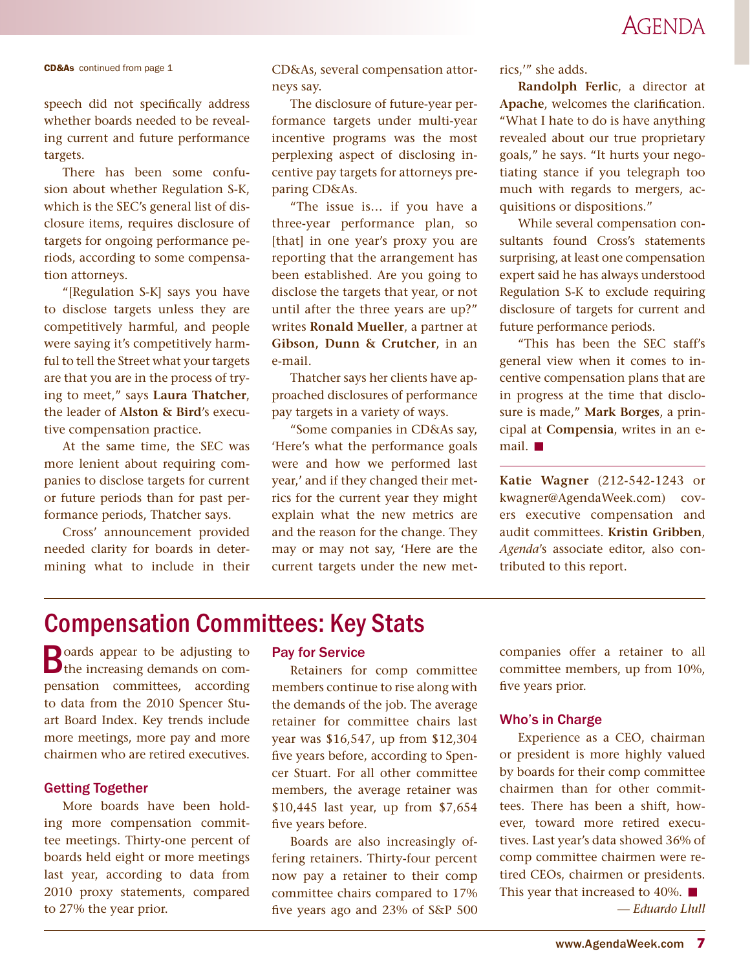## **AGENDA**

<span id="page-6-0"></span>

speech did not specifically address whether boards needed to be revealing current and future performance targets.

There has been some confusion about whether Regulation S-K, which is the SEC's general list of disclosure items, requires disclosure of targets for ongoing performance periods, according to some compensation attorneys.

"[Regulation S-K] says you have to disclose targets unless they are competitively harmful, and people were saying it's competitively harmful to tell the Street what your targets are that you are in the process of trying to meet," says **Laura Thatcher**, the leader of **Alston & Bird**'s executive compensation practice.

At the same time, the SEC was more lenient about requiring companies to disclose targets for current or future periods than for past performance periods, Thatcher says.

Cross' announcement provided needed clarity for boards in determining what to include in their

**CD&As** [continued from page 1](#page-0-0)  $CD\&As$ , several compensation attor- rics,'" she adds. neys say.

> The disclosure of future-year performance targets under multi-year incentive programs was the most perplexing aspect of disclosing incentive pay targets for attorneys preparing CD&As.

"The issue is… if you have a three-year performance plan, so [that] in one year's proxy you are reporting that the arrangement has been established. Are you going to disclose the targets that year, or not until after the three years are up?" writes **Ronald Mueller**, a partner at **Gibson, Dunn & Crutcher**, in an e-mail.

Thatcher says her clients have approached disclosures of performance pay targets in a variety of ways.

"Some companies in CD&As say, 'Here's what the performance goals were and how we performed last year,' and if they changed their metrics for the current year they might explain what the new metrics are and the reason for the change. They may or may not say, 'Here are the current targets under the new met-

**Randolph Ferlic**, a director at **Apache**, welcomes the clarification. "What I hate to do is have anything revealed about our true proprietary goals," he says. "It hurts your negotiating stance if you telegraph too much with regards to mergers, acquisitions or dispositions."

While several compensation consultants found Cross's statements surprising, at least one compensation expert said he has always understood Regulation S-K to exclude requiring disclosure of targets for current and future performance periods.

"This has been the SEC staff's general view when it comes to incentive compensation plans that are in progress at the time that disclosure is made," **Mark Borges**, a principal at **Compensia**, writes in an email.  $\blacksquare$ 

**Katie Wagner** (212-542-1243 or kwagner@AgendaWeek.com) covers executive compensation and audit committees. **Kristin Gribben**, *Agenda*'s associate editor, also contributed to this report.

## Compensation Committees: Key Stats

**B**oards appear to be adjusting to the increasing demands on compensation committees, according to data from the 2010 Spencer Stuart Board Index. Key trends include more meetings, more pay and more chairmen who are retired executives.

#### Getting Together

More boards have been holding more compensation committee meetings. Thirty-one percent of boards held eight or more meetings last year, according to data from 2010 proxy statements, compared to 27% the year prior.

### Pay for Service

Retainers for comp committee members continue to rise along with the demands of the job. The average retainer for committee chairs last year was \$16,547, up from \$12,304 five years before, according to Spencer Stuart. For all other committee members, the average retainer was \$10,445 last year, up from \$7,654 five years before.

Boards are also increasingly offering retainers. Thirty-four percent now pay a retainer to their comp committee chairs compared to 17% five years ago and 23% of S&P 500 companies offer a retainer to all committee members, up from 10%, five years prior.

#### Who's in Charge

Experience as a CEO, chairman or president is more highly valued by boards for their comp committee chairmen than for other committees. There has been a shift, however, toward more retired executives. Last year's data showed 36% of comp committee chairmen were retired CEOs, chairmen or presidents. This year that increased to 40%.  $\blacksquare$ *— Eduardo Llull*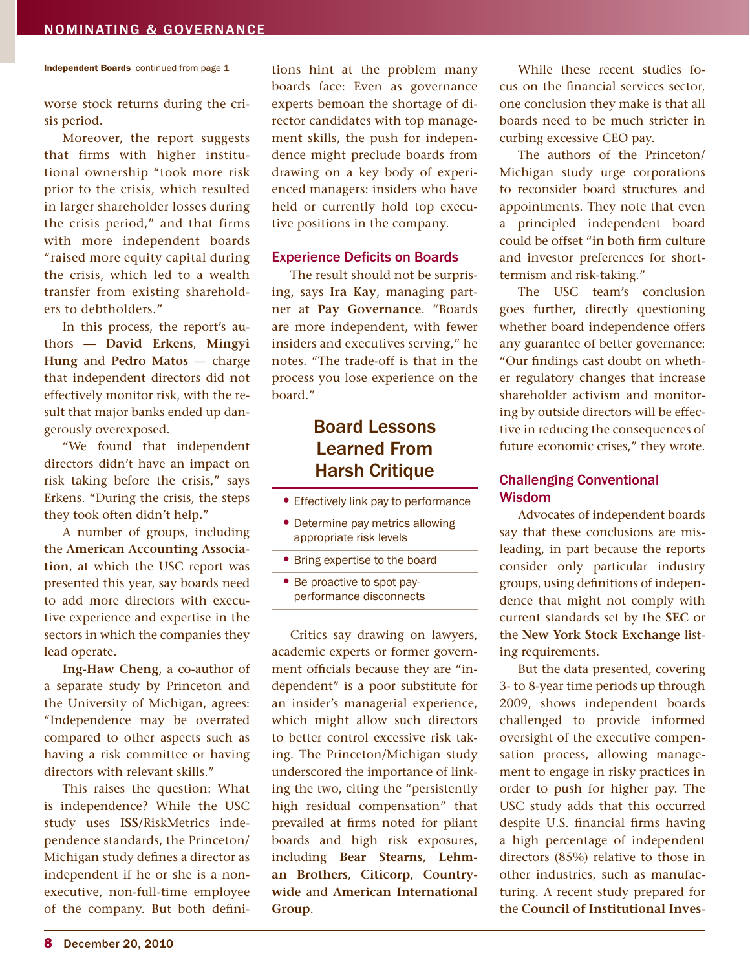worse stock returns during the crisis period.

Moreover, the report suggests that firms with higher institutional ownership "took more risk prior to the crisis, which resulted in larger shareholder losses during the crisis period," and that firms with more independent boards "raised more equity capital during the crisis, which led to a wealth transfer from existing shareholders to debtholders."

In this process, the report's authors — **David Erkens**, **Mingyi Hung** and **Pedro Matos** — charge that independent directors did not effectively monitor risk, with the result that major banks ended up dangerously overexposed.

"We found that independent directors didn't have an impact on risk taking before the crisis," says Erkens. "During the crisis, the steps they took often didn't help."

A number of groups, including the **American Accounting Association**, at which the USC report was presented this year, say boards need to add more directors with executive experience and expertise in the sectors in which the companies they lead operate.

**Ing-Haw Cheng**, a co-author of a separate study by Princeton and the University of Michigan, agrees: "Independence may be overrated compared to other aspects such as having a risk committee or having directors with relevant skills."

This raises the question: What is independence? While the USC study uses **ISS**/RiskMetrics independence standards, the Princeton/ Michigan study defines a director as independent if he or she is a nonexecutive, non-full-time employee of the company. But both defini-

<span id="page-7-0"></span>Independent Boards [continued from page 1](#page-0-0) ions hint at the problem many While these recent studies foboards face: Even as governance experts bemoan the shortage of director candidates with top management skills, the push for independence might preclude boards from drawing on a key body of experienced managers: insiders who have held or currently hold top executive positions in the company.

#### Experience Deficits on Boards

The result should not be surprising, says **Ira Kay**, managing partner at **Pay Governance**. "Boards are more independent, with fewer insiders and executives serving," he notes. "The trade-off is that in the process you lose experience on the board."

## Board Lessons Learned From Harsh Critique

- Effectively link pay to performance
- Determine pay metrics allowing appropriate risk levels
- Bring expertise to the board
- Be proactive to spot payperformance disconnects

Critics say drawing on lawyers, academic experts or former government officials because they are "independent" is a poor substitute for an insider's managerial experience, which might allow such directors to better control excessive risk taking. The Princeton/Michigan study underscored the importance of linking the two, citing the "persistently high residual compensation" that prevailed at firms noted for pliant boards and high risk exposures, including **Bear Stearns**, **Lehman Brothers**, **Citicorp**, **Countrywide** and **American International Group**.

cus on the financial services sector, one conclusion they make is that all boards need to be much stricter in curbing excessive CEO pay.

The authors of the Princeton/ Michigan study urge corporations to reconsider board structures and appointments. They note that even a principled independent board could be offset "in both firm culture and investor preferences for shorttermism and risk-taking."

The USC team's conclusion goes further, directly questioning whether board independence offers any guarantee of better governance: "Our findings cast doubt on whether regulatory changes that increase shareholder activism and monitoring by outside directors will be effective in reducing the consequences of future economic crises," they wrote.

## Challenging Conventional Wisdom

Advocates of independent boards say that these conclusions are misleading, in part because the reports consider only particular industry groups, using definitions of independence that might not comply with current standards set by the **SEC** or the **New York Stock Exchange** listing requirements.

But the data presented, covering 3- to 8-year time periods up through 2009, shows independent boards challenged to provide informed oversight of the executive compensation process, allowing management to engage in risky practices in order to push for higher pay. The USC study adds that this occurred despite U.S. financial firms having a high percentage of independent directors (85%) relative to those in other industries, such as manufacturing. A recent study prepared for the **Council of Institutional Inves-**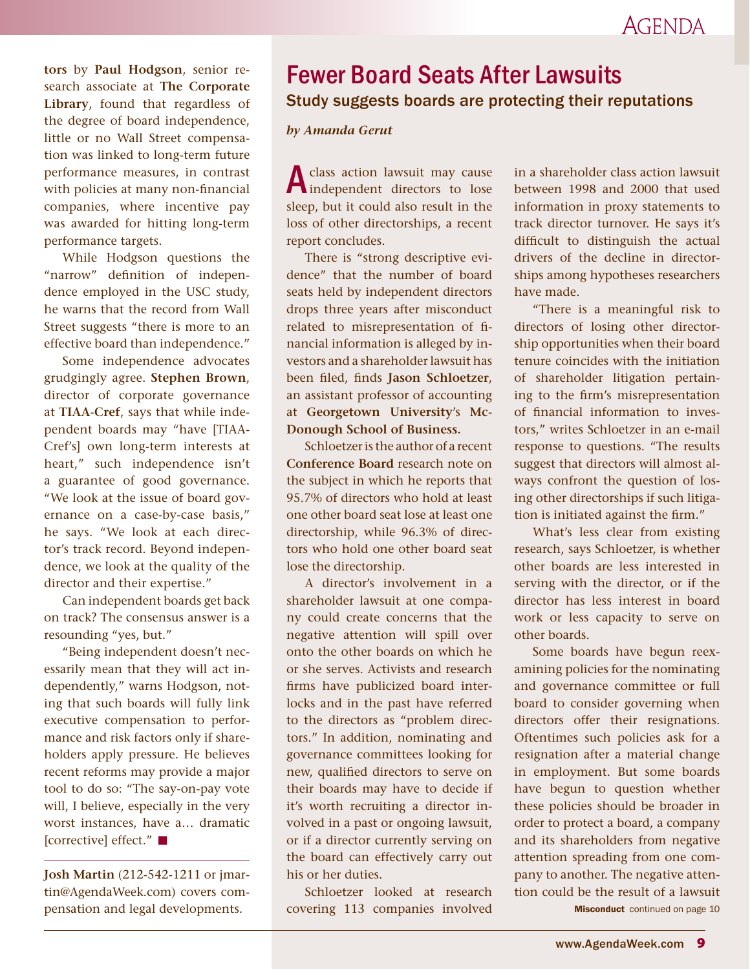<span id="page-8-0"></span>**tors** by **Paul Hodgson**, senior research associate at **The Corporate Library**, found that regardless of the degree of board independence, little or no Wall Street compensation was linked to long-term future performance measures, in contrast with policies at many non-financial companies, where incentive pay was awarded for hitting long-term performance targets.

While Hodgson questions the "narrow" definition of independence employed in the USC study, he warns that the record from Wall Street suggests "there is more to an effective board than independence."

Some independence advocates grudgingly agree. **Stephen Brown**, director of corporate governance at **TIAA-Cref**, says that while independent boards may "have [TIAA-Cref's] own long-term interests at heart," such independence isn't a guarantee of good governance. "We look at the issue of board governance on a case-by-case basis," he says. "We look at each director's track record. Beyond independence, we look at the quality of the director and their expertise."

Can independent boards get back on track? The consensus answer is a resounding "yes, but."

"Being independent doesn't necessarily mean that they will act independently," warns Hodgson, noting that such boards will fully link executive compensation to performance and risk factors only if shareholders apply pressure. He believes recent reforms may provide a major tool to do so: "The say-on-pay vote will, I believe, especially in the very worst instances, have a… dramatic [corrective] effect." ■

**Josh Martin** (212-542-1211 or jmartin@AgendaWeek.com) covers compensation and legal developments.

## Fewer Board Seats After Lawsuits Study suggests boards are protecting their reputations

#### *by Amanda Gerut*

A class action lawsuit may cause<br>independent directors to lose sleep, but it could also result in the loss of other directorships, a recent report concludes.

There is "strong descriptive evidence" that the number of board seats held by independent directors drops three years after misconduct related to misrepresentation of financial information is alleged by investors and a shareholder lawsuit has been filed, finds **Jason Schloetzer**, an assistant professor of accounting at **Georgetown University**'s **Mc-Donough School of Business.** 

Schloetzer is the author of a recent **Conference Board** research note on the subject in which he reports that 95.7% of directors who hold at least one other board seat lose at least one directorship, while 96.3% of directors who hold one other board seat lose the directorship.

A director's involvement in a shareholder lawsuit at one company could create concerns that the negative attention will spill over onto the other boards on which he or she serves. Activists and research firms have publicized board interlocks and in the past have referred to the directors as "problem directors." In addition, nominating and governance committees looking for new, qualified directors to serve on their boards may have to decide if it's worth recruiting a director involved in a past or ongoing lawsuit, or if a director currently serving on the board can effectively carry out his or her duties.

Schloetzer looked at research covering 113 companies involved in a shareholder class action lawsuit between 1998 and 2000 that used information in proxy statements to track director turnover. He says it's difficult to distinguish the actual drivers of the decline in directorships among hypotheses researchers have made.

"There is a meaningful risk to directors of losing other directorship opportunities when their board tenure coincides with the initiation of shareholder litigation pertaining to the firm's misrepresentation of financial information to investors," writes Schloetzer in an e-mail response to questions. "The results suggest that directors will almost always confront the question of losing other directorships if such litigation is initiated against the firm."

What's less clear from existing research, says Schloetzer, is whether other boards are less interested in serving with the director, or if the director has less interest in board work or less capacity to serve on other boards.

Some boards have begun reexamining policies for the nominating and governance committee or full board to consider governing when directors offer their resignations. Oftentimes such policies ask for a resignation after a material change in employment. But some boards have begun to question whether these policies should be broader in order to protect a board, a company and its shareholders from negative attention spreading from one company to another. The negative attention could be the result of a lawsuit

**Misconduct** continued on page 10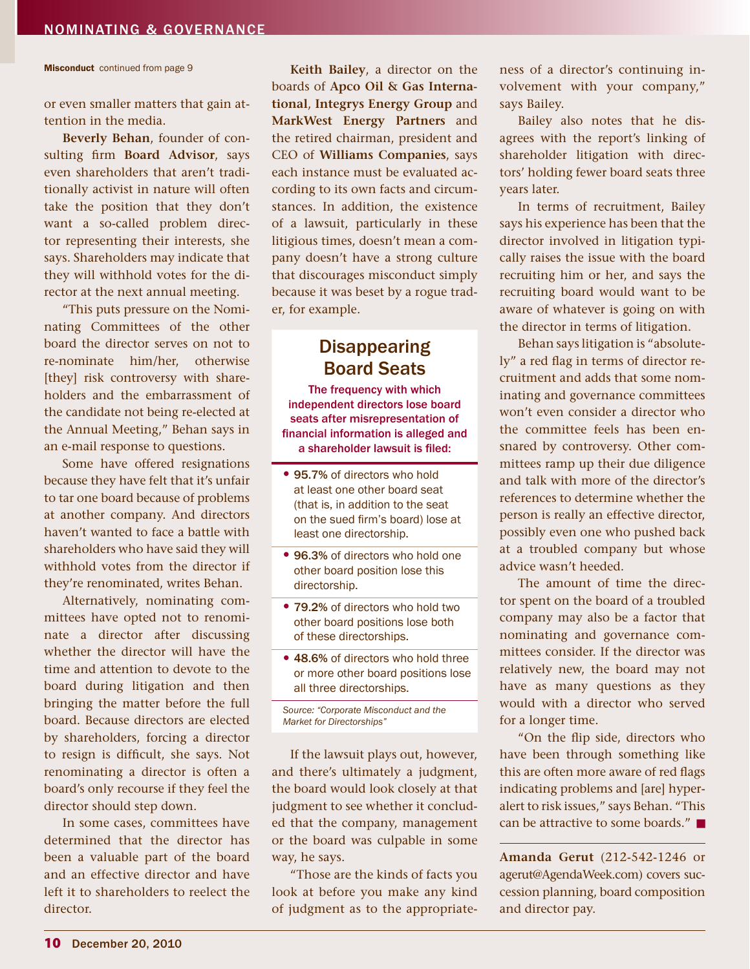Misconduct continued from page 9

or even smaller matters that gain attention in the media.

**Beverly Behan**, founder of consulting firm **Board Advisor**, says even shareholders that aren't traditionally activist in nature will often take the position that they don't want a so-called problem director representing their interests, she says. Shareholders may indicate that they will withhold votes for the director at the next annual meeting.

"This puts pressure on the Nominating Committees of the other board the director serves on not to re-nominate him/her, otherwise [they] risk controversy with shareholders and the embarrassment of the candidate not being re-elected at the Annual Meeting," Behan says in an e-mail response to questions.

Some have offered resignations because they have felt that it's unfair to tar one board because of problems at another company. And directors haven't wanted to face a battle with shareholders who have said they will withhold votes from the director if they're renominated, writes Behan.

Alternatively, nominating committees have opted not to renominate a director after discussing whether the director will have the time and attention to devote to the board during litigation and then bringing the matter before the full board. Because directors are elected by shareholders, forcing a director to resign is difficult, she says. Not renominating a director is often a board's only recourse if they feel the director should step down.

In some cases, committees have determined that the director has been a valuable part of the board and an effective director and have left it to shareholders to reelect the director.

**Keith Bailey**, a director on the boards of **Apco Oil & Gas International**, **Integrys Energy Group** and **MarkWest Energy Partners** and the retired chairman, president and CEO of **Williams Companies**, says each instance must be evaluated according to its own facts and circumstances. In addition, the existence of a lawsuit, particularly in these litigious times, doesn't mean a company doesn't have a strong culture that discourages misconduct simply because it was beset by a rogue trader, for example.

## **Disappearing** Board Seats

The frequency with which independent directors lose board seats after misrepresentation of financial information is alleged and a shareholder lawsuit is filed:

- 95.7% of directors who hold at least one other board seat (that is, in addition to the seat on the sued firm's board) lose at least one directorship.
- 96.3% of directors who hold one other board position lose this directorship.
- 79.2% of directors who hold two other board positions lose both of these directorships.
- 48.6% of directors who hold three or more other board positions lose all three directorships.

If the lawsuit plays out, however, and there's ultimately a judgment, the board would look closely at that judgment to see whether it concluded that the company, management or the board was culpable in some way, he says.

"Those are the kinds of facts you look at before you make any kind of judgment as to the appropriateness of a director's continuing involvement with your company," says Bailey.

Bailey also notes that he disagrees with the report's linking of shareholder litigation with directors' holding fewer board seats three years later.

In terms of recruitment, Bailey says his experience has been that the director involved in litigation typically raises the issue with the board recruiting him or her, and says the recruiting board would want to be aware of whatever is going on with the director in terms of litigation.

Behan says litigation is "absolutely" a red flag in terms of director recruitment and adds that some nominating and governance committees won't even consider a director who the committee feels has been ensnared by controversy. Other committees ramp up their due diligence and talk with more of the director's references to determine whether the person is really an effective director, possibly even one who pushed back at a troubled company but whose advice wasn't heeded.

The amount of time the director spent on the board of a troubled company may also be a factor that nominating and governance committees consider. If the director was relatively new, the board may not have as many questions as they would with a director who served for a longer time.

"On the flip side, directors who have been through something like this are often more aware of red flags indicating problems and [are] hyperalert to risk issues," says Behan. "This can be attractive to some boards."

**Amanda Gerut** (212-542-1246 or agerut@AgendaWeek.com) covers succession planning, board composition and director pay.

*Source: "Corporate Misconduct and the Market for Directorships"*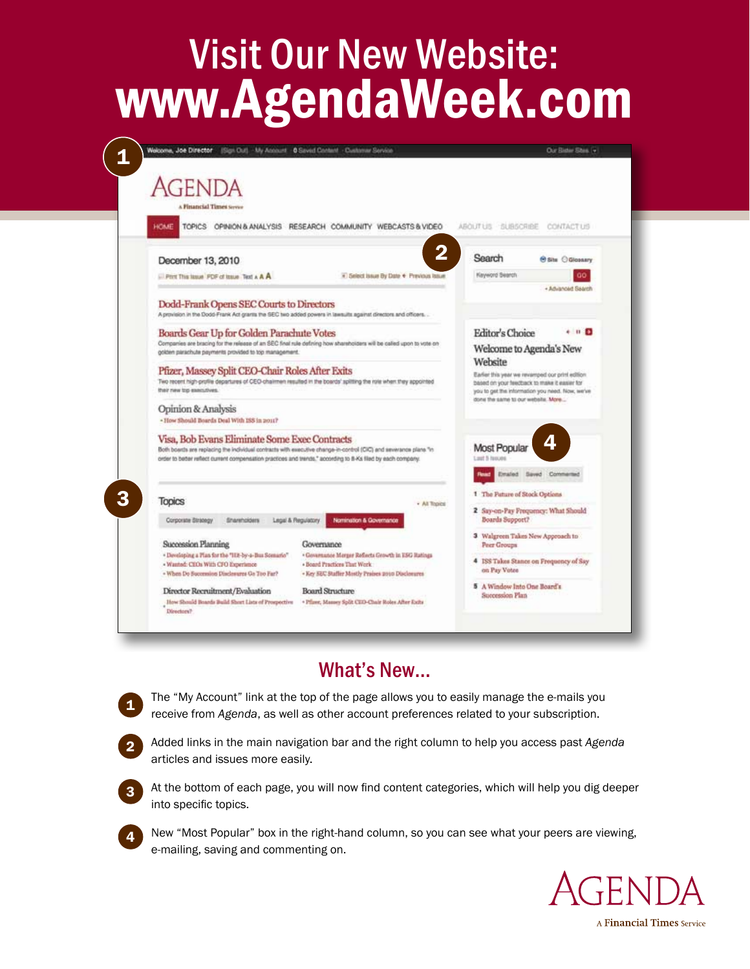# Visit Our New Website: www.AgendaWeek.com

| Welcome, Joe Director (Sign Out) - My Annount - 0 Saved Content - Customer Service                                                                                 | Our Bister Sites, 14                                                                            |
|--------------------------------------------------------------------------------------------------------------------------------------------------------------------|-------------------------------------------------------------------------------------------------|
|                                                                                                                                                                    |                                                                                                 |
| genda                                                                                                                                                              |                                                                                                 |
| <b>A Financial Times server</b>                                                                                                                                    |                                                                                                 |
| TOPICS OPINION & ANALYSIS RESEARCH COMMUNITY WEBCASTS & VIDEO<br>HOME                                                                                              | ABOUT US SUBSCRIBE<br>CONTACTURE                                                                |
|                                                                                                                                                                    |                                                                                                 |
| 2<br>December 13, 2010                                                                                                                                             | Search<br><b><i><u>Oshu</u></i></b> OGlossary                                                   |
|                                                                                                                                                                    | <b>Keyword Search</b>                                                                           |
| * Select Issue By Date + Previous lasue<br>First This lique. FDF of lique. Text x A A                                                                              | + Advanced Saarch                                                                               |
| Dodd-Frank Opens SEC Courts to Directors                                                                                                                           |                                                                                                 |
| A provision in the Dodd-Frank Act grants the SEC two added powers in lawsuits against directors and officers. .                                                    |                                                                                                 |
| Boards Gear Up for Golden Parachute Votes                                                                                                                          | Editor's Choice<br>$+$ $n$ $n$                                                                  |
| Companies are bracing for the release of an SEC final rule defining how shareholders will be called upon to vote on                                                | Welcome to Agenda's New                                                                         |
| golden parachute payments provided to top management.                                                                                                              | Website                                                                                         |
| Pfizer, Massey Split CEO-Chair Roles After Exits                                                                                                                   | Earlier this year we revamped our print edition.                                                |
| Two recent high-profile departures of CEO-chairmen resulted in the boards' splitting the role when they appointed<br>their new top executives.                     | based on your feedback to make it easier for<br>you to get the information you need. Now, we've |
|                                                                                                                                                                    | done the same to our website. More                                                              |
| Opinion & Analysis<br>- How Should Boards Deal With ISS in 2011?                                                                                                   |                                                                                                 |
|                                                                                                                                                                    |                                                                                                 |
| Visa, Bob Evans Eliminate Some Exec Contracts<br>Both boards are replacing the individual contracts with executive change-in-control (CIC) and severance plans "in | <u>л</u><br>Most Popular                                                                        |
| order to better reflect current compensation practices and trends," according to B-Ks filed by each company.                                                       | Louit 5 homoes                                                                                  |
|                                                                                                                                                                    | Emated Saved Commercial                                                                         |
|                                                                                                                                                                    | 1 The Future of Stock Options                                                                   |
| <b>Topics</b><br>· All Topics                                                                                                                                      | 2 Say-on-Pay Frequency: What Should                                                             |
| Nomination & Governance<br>Legisl & Regulatory<br>Corporate Birategy<br>Shareholders                                                                               | Boards Support?                                                                                 |
|                                                                                                                                                                    | 3 Walgreen Takes New Approach to                                                                |
| Succession Planning<br>Governance<br>. Developing a Plan for the "Hit-by-a-Bus Somario"<br>· Governance Merger Reflects Growth in ESG Ratings                      | Peer Groups                                                                                     |
| - Wanted: CEOs With CFO Experience<br>· Board Practices That Work                                                                                                  | 4 ISS Takes Stance on Frequency of Say                                                          |
| · When Do Succession Disclessures Go Too Far?<br>· Key SEC Staffer Mostly Praises 2010 Disclosures                                                                 | on Pay Votes                                                                                    |
| <b>Board Structure</b><br>Director Recruitment/Evaluation                                                                                                          | 5 A Window Into One Board's<br>Succession Plan                                                  |
| How Should Boards Build Short Lists of Prospective<br>* Pflase, Massey Split CEO-Chair Roles After Exits<br>Directors?                                             |                                                                                                 |
|                                                                                                                                                                    |                                                                                                 |

## What's New…

The "My Account" link at the top of the page allows you to easily manage the e-mails you receive from *Agenda*, as well as other account preferences related to your subscription.



1

Added links in the main navigation bar and the right column to help you access past *Agenda* articles and issues more easily.



4

At the bottom of each page, you will now find content categories, which will help you dig deeper into specific topics.

New "Most Popular" box in the right-hand column, so you can see what your peers are viewing, e-mailing, saving and commenting on.



A Financial Times Service